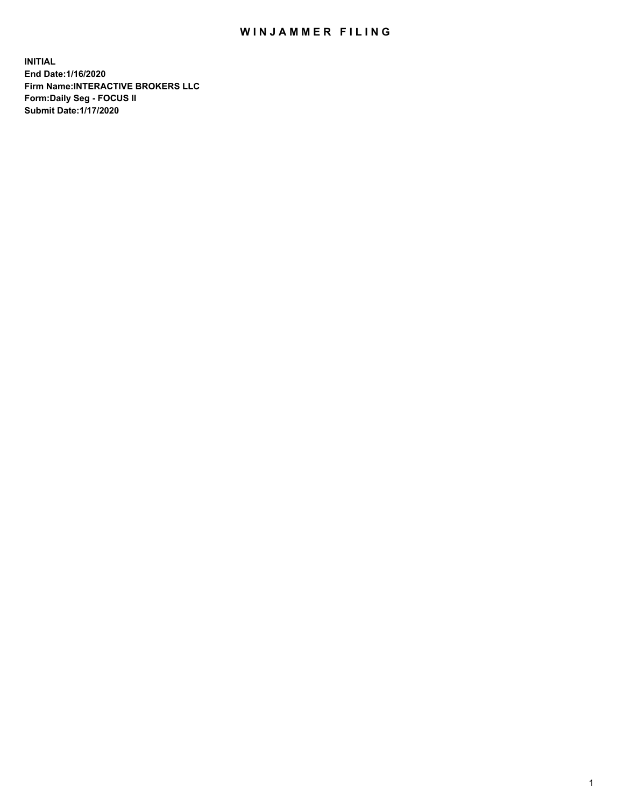## WIN JAMMER FILING

**INITIAL End Date:1/16/2020 Firm Name:INTERACTIVE BROKERS LLC Form:Daily Seg - FOCUS II Submit Date:1/17/2020**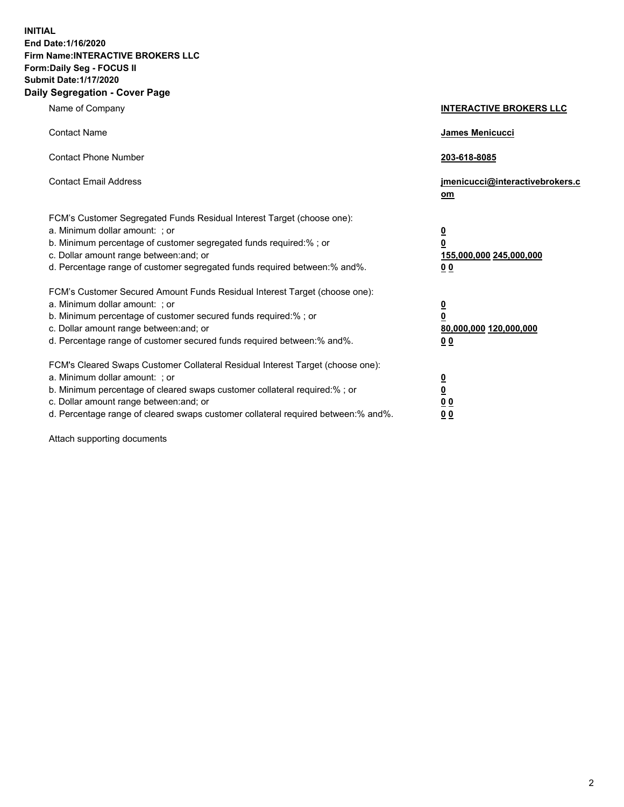**INITIAL End Date:1/16/2020 Firm Name:INTERACTIVE BROKERS LLC Form:Daily Seg - FOCUS II Submit Date:1/17/2020 Daily Segregation - Cover Page**

| Name of Company                                                                                                                                                                                                                                                                                                                 | <b>INTERACTIVE BROKERS LLC</b>                                                   |
|---------------------------------------------------------------------------------------------------------------------------------------------------------------------------------------------------------------------------------------------------------------------------------------------------------------------------------|----------------------------------------------------------------------------------|
| <b>Contact Name</b>                                                                                                                                                                                                                                                                                                             | <b>James Menicucci</b>                                                           |
| <b>Contact Phone Number</b>                                                                                                                                                                                                                                                                                                     | 203-618-8085                                                                     |
| <b>Contact Email Address</b>                                                                                                                                                                                                                                                                                                    | jmenicucci@interactivebrokers.c<br>om                                            |
| FCM's Customer Segregated Funds Residual Interest Target (choose one):<br>a. Minimum dollar amount: ; or<br>b. Minimum percentage of customer segregated funds required:% ; or<br>c. Dollar amount range between: and; or<br>d. Percentage range of customer segregated funds required between:% and%.                          | <u>0</u><br>$\overline{\mathbf{0}}$<br>155,000,000 245,000,000<br>0 <sub>0</sub> |
| FCM's Customer Secured Amount Funds Residual Interest Target (choose one):<br>a. Minimum dollar amount: ; or<br>b. Minimum percentage of customer secured funds required:%; or<br>c. Dollar amount range between: and; or<br>d. Percentage range of customer secured funds required between:% and%.                             | <u>0</u><br>$\overline{\mathbf{0}}$<br>80,000,000 120,000,000<br>0 <sub>0</sub>  |
| FCM's Cleared Swaps Customer Collateral Residual Interest Target (choose one):<br>a. Minimum dollar amount: ; or<br>b. Minimum percentage of cleared swaps customer collateral required:%; or<br>c. Dollar amount range between: and; or<br>d. Percentage range of cleared swaps customer collateral required between: % and %. | <u>0</u><br>$\underline{\mathbf{0}}$<br>0 <sub>0</sub><br>0 <sub>0</sub>         |

Attach supporting documents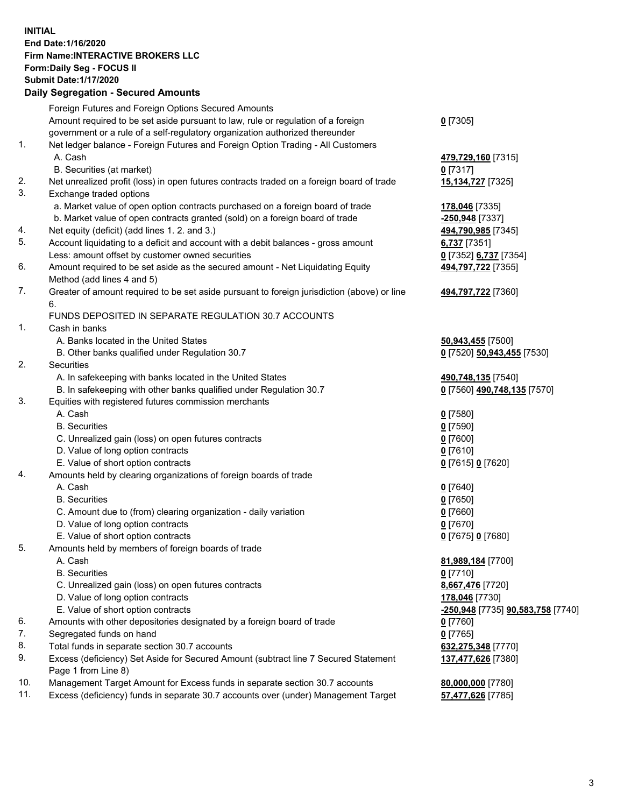**INITIAL End Date:1/16/2020 Firm Name:INTERACTIVE BROKERS LLC Form:Daily Seg - FOCUS II Submit Date:1/17/2020 Daily Segregation - Secured Amounts**

|     | 2011, Ocglegation - Oceaned Anioanto                                                        |                                   |
|-----|---------------------------------------------------------------------------------------------|-----------------------------------|
|     | Foreign Futures and Foreign Options Secured Amounts                                         |                                   |
|     | Amount required to be set aside pursuant to law, rule or regulation of a foreign            | $0$ [7305]                        |
|     | government or a rule of a self-regulatory organization authorized thereunder                |                                   |
| 1.  | Net ledger balance - Foreign Futures and Foreign Option Trading - All Customers             |                                   |
|     | A. Cash                                                                                     | 479,729,160 [7315]                |
|     | B. Securities (at market)                                                                   | $0$ [7317]                        |
| 2.  | Net unrealized profit (loss) in open futures contracts traded on a foreign board of trade   | 15,134,727 [7325]                 |
| 3.  | Exchange traded options                                                                     |                                   |
|     | a. Market value of open option contracts purchased on a foreign board of trade              | 178,046 [7335]                    |
|     | b. Market value of open contracts granted (sold) on a foreign board of trade                | -250,948 [7337]                   |
| 4.  | Net equity (deficit) (add lines 1. 2. and 3.)                                               | 494,790,985 [7345]                |
| 5.  | Account liquidating to a deficit and account with a debit balances - gross amount           | 6,737 [7351]                      |
|     | Less: amount offset by customer owned securities                                            | 0 [7352] 6,737 [7354]             |
| 6.  | Amount required to be set aside as the secured amount - Net Liquidating Equity              | 494,797,722 [7355]                |
|     | Method (add lines 4 and 5)                                                                  |                                   |
| 7.  | Greater of amount required to be set aside pursuant to foreign jurisdiction (above) or line | 494,797,722 [7360]                |
|     | 6.                                                                                          |                                   |
|     | FUNDS DEPOSITED IN SEPARATE REGULATION 30.7 ACCOUNTS                                        |                                   |
| 1.  | Cash in banks                                                                               |                                   |
|     | A. Banks located in the United States                                                       | 50,943,455 [7500]                 |
|     | B. Other banks qualified under Regulation 30.7                                              | 0 [7520] 50,943,455 [7530]        |
| 2.  | Securities                                                                                  |                                   |
|     | A. In safekeeping with banks located in the United States                                   | 490,748,135 [7540]                |
|     | B. In safekeeping with other banks qualified under Regulation 30.7                          | 0 [7560] 490,748,135 [7570]       |
| 3.  | Equities with registered futures commission merchants                                       |                                   |
|     | A. Cash                                                                                     | $0$ [7580]                        |
|     | <b>B.</b> Securities                                                                        | $0$ [7590]                        |
|     | C. Unrealized gain (loss) on open futures contracts                                         | $0$ [7600]                        |
|     | D. Value of long option contracts                                                           | $0$ [7610]                        |
|     | E. Value of short option contracts                                                          | 0 [7615] 0 [7620]                 |
| 4.  | Amounts held by clearing organizations of foreign boards of trade                           |                                   |
|     | A. Cash                                                                                     | $0$ [7640]                        |
|     | <b>B.</b> Securities                                                                        | $0$ [7650]                        |
|     | C. Amount due to (from) clearing organization - daily variation                             | $0$ [7660]                        |
|     | D. Value of long option contracts                                                           | $0$ [7670]                        |
|     | E. Value of short option contracts                                                          | 0 [7675] 0 [7680]                 |
| 5.  | Amounts held by members of foreign boards of trade                                          |                                   |
|     | A. Cash                                                                                     | 81,989,184 [7700]                 |
|     | <b>B.</b> Securities                                                                        | $0$ [7710]                        |
|     | C. Unrealized gain (loss) on open futures contracts                                         | 8,667,476 [7720]                  |
|     | D. Value of long option contracts                                                           | 178,046 [7730]                    |
|     | E. Value of short option contracts                                                          | -250,948 [7735] 90,583,758 [7740] |
| 6.  | Amounts with other depositories designated by a foreign board of trade                      | $0$ [7760]                        |
| 7.  | Segregated funds on hand                                                                    | $0$ [7765]                        |
| 8.  | Total funds in separate section 30.7 accounts                                               | 632,275,348 [7770]                |
| 9.  | Excess (deficiency) Set Aside for Secured Amount (subtract line 7 Secured Statement         | 137,477,626 [7380]                |
|     | Page 1 from Line 8)                                                                         |                                   |
| 10. | Management Target Amount for Excess funds in separate section 30.7 accounts                 | 80,000,000 [7780]                 |
| 11. | Excess (deficiency) funds in separate 30.7 accounts over (under) Management Target          | 57,477,626 [7785]                 |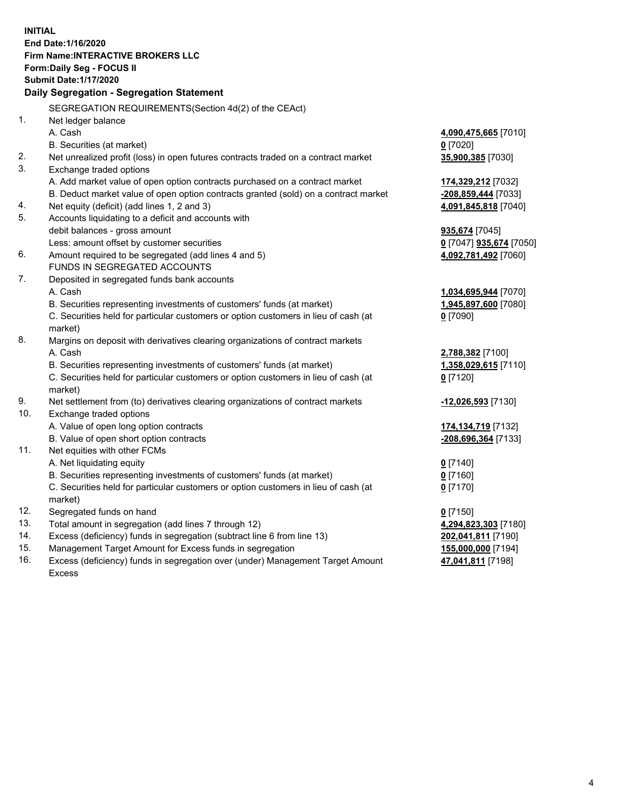**INITIAL End Date:1/16/2020 Firm Name:INTERACTIVE BROKERS LLC Form:Daily Seg - FOCUS II Submit Date:1/17/2020 Daily Segregation - Segregation Statement** SEGREGATION REQUIREMENTS(Section 4d(2) of the CEAct) 1. Net ledger balance A. Cash **4,090,475,665** [7010] B. Securities (at market) **0** [7020] 2. Net unrealized profit (loss) in open futures contracts traded on a contract market **35,900,385** [7030] 3. Exchange traded options A. Add market value of open option contracts purchased on a contract market **174,329,212** [7032] B. Deduct market value of open option contracts granted (sold) on a contract market **-208,859,444** [7033] 4. Net equity (deficit) (add lines 1, 2 and 3) **4,091,845,818** [7040] 5. Accounts liquidating to a deficit and accounts with debit balances - gross amount **935,674** [7045] Less: amount offset by customer securities **0** [7047] **935,674** [7050] 6. Amount required to be segregated (add lines 4 and 5) **4,092,781,492** [7060] FUNDS IN SEGREGATED ACCOUNTS 7. Deposited in segregated funds bank accounts A. Cash **1,034,695,944** [7070] B. Securities representing investments of customers' funds (at market) **1,945,897,600** [7080] C. Securities held for particular customers or option customers in lieu of cash (at market) **0** [7090] 8. Margins on deposit with derivatives clearing organizations of contract markets A. Cash **2,788,382** [7100] B. Securities representing investments of customers' funds (at market) **1,358,029,615** [7110] C. Securities held for particular customers or option customers in lieu of cash (at market) **0** [7120] 9. Net settlement from (to) derivatives clearing organizations of contract markets **-12,026,593** [7130] 10. Exchange traded options A. Value of open long option contracts **174,134,719** [7132] B. Value of open short option contracts **-208,696,364** [7133] 11. Net equities with other FCMs A. Net liquidating equity **0** [7140] B. Securities representing investments of customers' funds (at market) **0** [7160] C. Securities held for particular customers or option customers in lieu of cash (at market) **0** [7170] 12. Segregated funds on hand **0** [7150] 13. Total amount in segregation (add lines 7 through 12) **4,294,823,303** [7180] 14. Excess (deficiency) funds in segregation (subtract line 6 from line 13) **202,041,811** [7190] 15. Management Target Amount for Excess funds in segregation **155,000,000** [7194] **47,041,811** [7198]

16. Excess (deficiency) funds in segregation over (under) Management Target Amount Excess